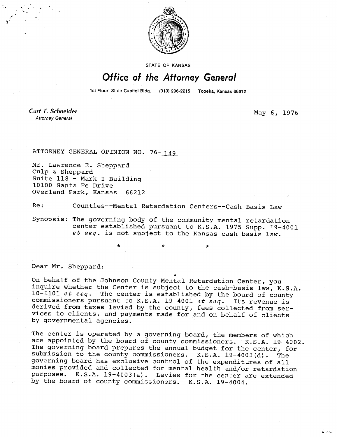

STATE OF KANSAS

## Office of the Attorney General

1st Floor, State Capitol Bldg. (913) 296-2215 Topeka, Kansas 66612

Curt T. Schneider **Attorney General** 

May 6, 1976

**Mi-104** 

ATTORNEY GENERAL OPINION NO. 76-149

÷

Mr. Lawrence E. Sheppard Culp & Sheppard Suite 118 - Mark I Building 10100 Santa Fe Drive Overland Park, Kansas 66212

Re: Counties--Mental Retardation Centers--Cash Basis Law

Synopsis: The governing body of the community mental retardation center established pursuant to K.S.A. 1975 Supp. 19-4001 et seq. is not subject to the Kansas cash basis law.

Dear Mr. Sheppard:

On behalf of the Johnson County Mental Retardation Center, you inquire whether the Center is subject to the cash-basis law, K.S.A. 10-1101  $et$   $seq$ . The center is established by the board of county commissioners pursuant to K.S.A. 19-4001 et seq. Its revenue is derived from taxes levied by the county, fees collected from services to clients, and payments made for and on behalf of clients by governmental agencies.

The center is operated by a governing board, the members of which are appointed by the board of county commissioners. K.S.A. 19-4002. The governing board prepares the annual budget for the center, for submission to the county commissioners. K.S.A. 19-4003(d). The governing board has exclusive control of the expenditures of all monies provided and collected for mental health and/or retardation purposes. K.S.A. 19-4003(a). Levies for the center are extended by the board of county commissioners. K.S.A. 19-4004.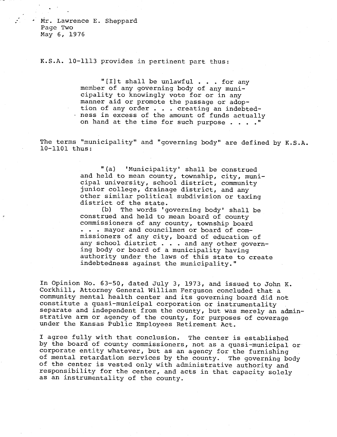Mr. Lawrence E. Sheppard Page Two May 6, 1976

K.S.A. 10-1113 provides in pertinent part thus:

"[I]t shall be unlawful . . . for any member of any governing body of any municipality to knowingly vote for or in any manner aid or promote the passage or adoption of any order . . . creating an indebtedness in excess of the amount of funds actually on hand at the time for such purpose . . . . "

The terms "municipality" and "governing body" are defined by K.S.A. 10-1101 thus:

> "(a) 'Municipality' shall be construed and held to mean county, township, city, municipal university, school district, community junior college, drainage district, and any other similar political subdivision or taxing district of the state.

(b) The words 'governing body' shall be construed and held to mean board of county commissioners of any county, township board . . . mayor and councilmen or board of commissioners of any city, board of education of any school district . . . and any other governing body or board of a municipality having authority under the laws of this state to create indebtedness against the municipality."

In Opinion No. 63-50, dated July 3, 1973, and issued to John K. Corkhill, Attorney General William Ferguson concluded that a community mental health center and its governing board did not constitute a quasi-municipal corporation or instrumentality separate and independent from the county, but was merely an adminstrative arm or agency of the county, for purposes of coverage under the Kansas Public Employees Retirement Act.

I agree fully with that conclusion. The center is established by the board of county commissioners, not as a quasi-municipal or corporate entity whatever, but as an agency for the furnishing of mental retardation services by the county. The governing body of the center is vested only with administrative authority and responsibility for the center, and acts in that capacity solely as an instrumentality of the county.